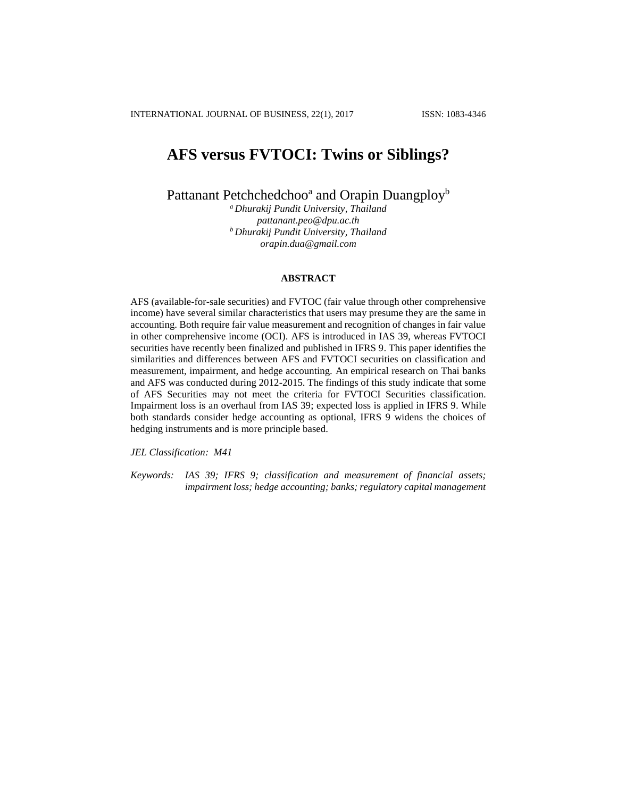# **AFS versus FVTOCI: Twins or Siblings?**

Pattanant Petchchedchoo<sup>a</sup> and Orapin Duangploy<sup>b</sup>

*<sup>a</sup>Dhurakij Pundit University, Thailand [pattanant.peo@dpu.ac.th](mailto:pattanant.peo@dpu.ac.th) <sup>b</sup>Dhurakij Pundit University, Thailand [orapin.dua@gmail.com](mailto:orapin.dua@gmail.com)*

#### **ABSTRACT**

AFS (available-for-sale securities) and FVTOC (fair value through other comprehensive income) have several similar characteristics that users may presume they are the same in accounting. Both require fair value measurement and recognition of changes in fair value in other comprehensive income (OCI). AFS is introduced in IAS 39, whereas FVTOCI securities have recently been finalized and published in IFRS 9. This paper identifies the similarities and differences between AFS and FVTOCI securities on classification and measurement, impairment, and hedge accounting. An empirical research on Thai banks and AFS was conducted during 2012-2015. The findings of this study indicate that some of AFS Securities may not meet the criteria for FVTOCI Securities classification. Impairment loss is an overhaul from IAS 39; expected loss is applied in IFRS 9. While both standards consider hedge accounting as optional, IFRS 9 widens the choices of hedging instruments and is more principle based.

*JEL Classification: M41*

*Keywords: IAS 39; IFRS 9; classification and measurement of financial assets; impairment loss; hedge accounting; banks; regulatory capital management*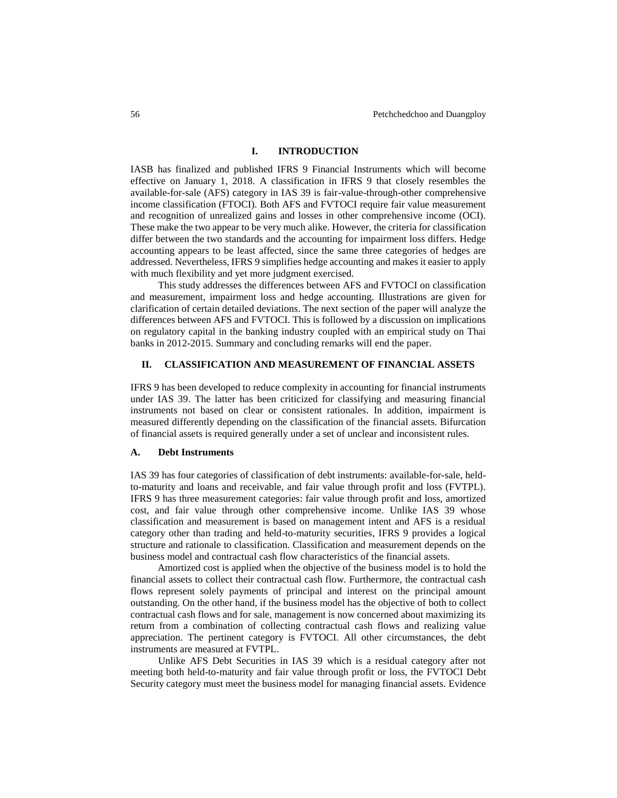## **I. INTRODUCTION**

IASB has finalized and published IFRS 9 Financial Instruments which will become effective on January 1, 2018. A classification in IFRS 9 that closely resembles the available-for-sale (AFS) category in IAS 39 is fair-value-through-other comprehensive income classification (FTOCI). Both AFS and FVTOCI require fair value measurement and recognition of unrealized gains and losses in other comprehensive income (OCI). These make the two appear to be very much alike. However, the criteria for classification differ between the two standards and the accounting for impairment loss differs. Hedge accounting appears to be least affected, since the same three categories of hedges are addressed. Nevertheless, IFRS 9 simplifies hedge accounting and makes it easier to apply with much flexibility and yet more judgment exercised.

This study addresses the differences between AFS and FVTOCI on classification and measurement, impairment loss and hedge accounting. Illustrations are given for clarification of certain detailed deviations. The next section of the paper will analyze the differences between AFS and FVTOCI. This is followed by a discussion on implications on regulatory capital in the banking industry coupled with an empirical study on Thai banks in 2012-2015. Summary and concluding remarks will end the paper.

#### **II. CLASSIFICATION AND MEASUREMENT OF FINANCIAL ASSETS**

IFRS 9 has been developed to reduce complexity in accounting for financial instruments under IAS 39. The latter has been criticized for classifying and measuring financial instruments not based on clear or consistent rationales. In addition, impairment is measured differently depending on the classification of the financial assets. Bifurcation of financial assets is required generally under a set of unclear and inconsistent rules.

#### **A. Debt Instruments**

IAS 39 has four categories of classification of debt instruments: available-for-sale, heldto-maturity and loans and receivable, and fair value through profit and loss (FVTPL). IFRS 9 has three measurement categories: fair value through profit and loss, amortized cost, and fair value through other comprehensive income. Unlike IAS 39 whose classification and measurement is based on management intent and AFS is a residual category other than trading and held-to-maturity securities, IFRS 9 provides a logical structure and rationale to classification. Classification and measurement depends on the business model and contractual cash flow characteristics of the financial assets.

Amortized cost is applied when the objective of the business model is to hold the financial assets to collect their contractual cash flow. Furthermore, the contractual cash flows represent solely payments of principal and interest on the principal amount outstanding. On the other hand, if the business model has the objective of both to collect contractual cash flows and for sale, management is now concerned about maximizing its return from a combination of collecting contractual cash flows and realizing value appreciation. The pertinent category is FVTOCI. All other circumstances, the debt instruments are measured at FVTPL.

Unlike AFS Debt Securities in IAS 39 which is a residual category after not meeting both held-to-maturity and fair value through profit or loss, the FVTOCI Debt Security category must meet the business model for managing financial assets. Evidence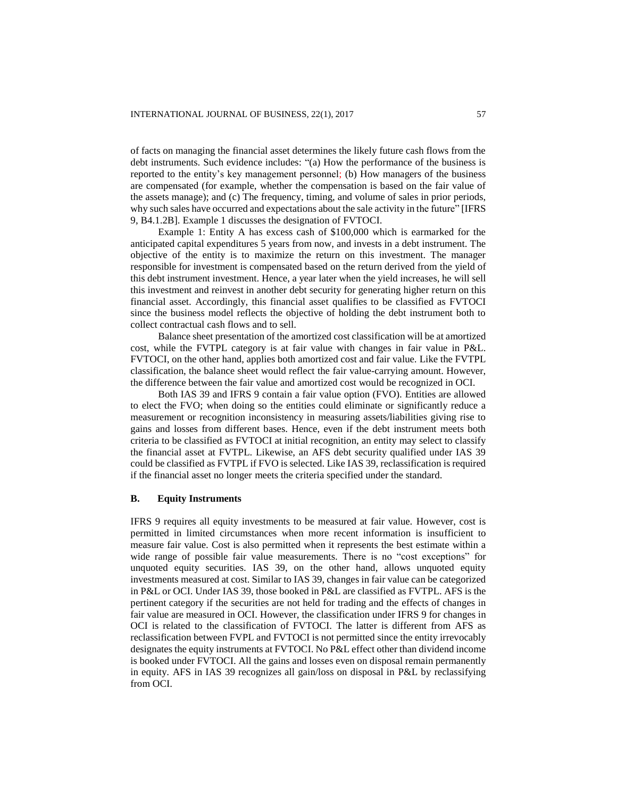of facts on managing the financial asset determines the likely future cash flows from the debt instruments. Such evidence includes: "(a) How the performance of the business is reported to the entity's key management personnel; (b) How managers of the business are compensated (for example, whether the compensation is based on the fair value of the assets manage); and (c) The frequency, timing, and volume of sales in prior periods, why such sales have occurred and expectations about the sale activity in the future" [IFRS 9, B4.1.2B]. Example 1 discusses the designation of FVTOCI.

Example 1: Entity A has excess cash of \$100,000 which is earmarked for the anticipated capital expenditures 5 years from now, and invests in a debt instrument. The objective of the entity is to maximize the return on this investment. The manager responsible for investment is compensated based on the return derived from the yield of this debt instrument investment. Hence, a year later when the yield increases, he will sell this investment and reinvest in another debt security for generating higher return on this financial asset. Accordingly, this financial asset qualifies to be classified as FVTOCI since the business model reflects the objective of holding the debt instrument both to collect contractual cash flows and to sell.

Balance sheet presentation of the amortized cost classification will be at amortized cost, while the FVTPL category is at fair value with changes in fair value in P&L. FVTOCI, on the other hand, applies both amortized cost and fair value. Like the FVTPL classification, the balance sheet would reflect the fair value-carrying amount. However, the difference between the fair value and amortized cost would be recognized in OCI.

Both IAS 39 and IFRS 9 contain a fair value option (FVO). Entities are allowed to elect the FVO; when doing so the entities could eliminate or significantly reduce a measurement or recognition inconsistency in measuring assets/liabilities giving rise to gains and losses from different bases. Hence, even if the debt instrument meets both criteria to be classified as FVTOCI at initial recognition, an entity may select to classify the financial asset at FVTPL. Likewise, an AFS debt security qualified under IAS 39 could be classified as FVTPL if FVO is selected. Like IAS 39, reclassification is required if the financial asset no longer meets the criteria specified under the standard.

## **B. Equity Instruments**

IFRS 9 requires all equity investments to be measured at fair value. However, cost is permitted in limited circumstances when more recent information is insufficient to measure fair value. Cost is also permitted when it represents the best estimate within a wide range of possible fair value measurements. There is no "cost exceptions" for unquoted equity securities. IAS 39, on the other hand, allows unquoted equity investments measured at cost. Similar to IAS 39, changes in fair value can be categorized in P&L or OCI. Under IAS 39, those booked in P&L are classified as FVTPL. AFS is the pertinent category if the securities are not held for trading and the effects of changes in fair value are measured in OCI. However, the classification under IFRS 9 for changes in OCI is related to the classification of FVTOCI. The latter is different from AFS as reclassification between FVPL and FVTOCI is not permitted since the entity irrevocably designates the equity instruments at FVTOCI. No P&L effect other than dividend income is booked under FVTOCI. All the gains and losses even on disposal remain permanently in equity. AFS in IAS 39 recognizes all gain/loss on disposal in P&L by reclassifying from OCI.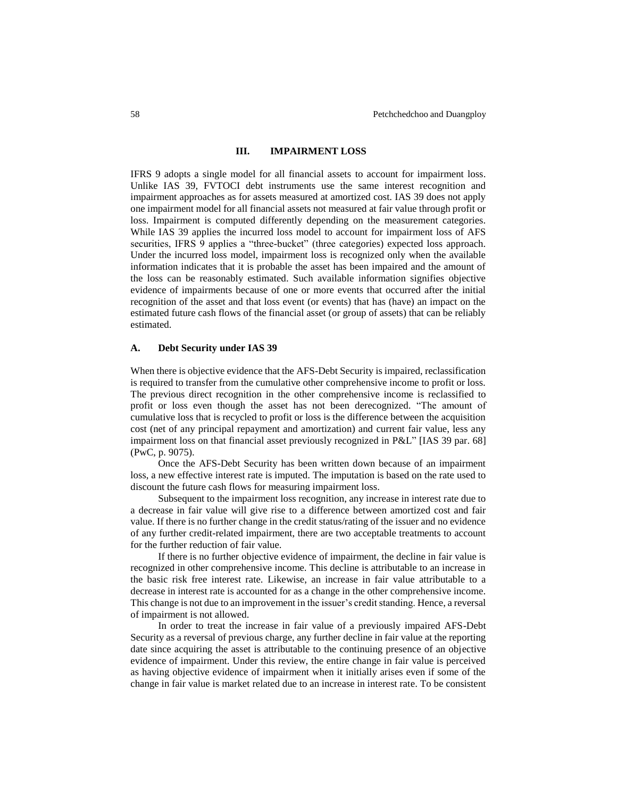### **III. IMPAIRMENT LOSS**

IFRS 9 adopts a single model for all financial assets to account for impairment loss. Unlike IAS 39, FVTOCI debt instruments use the same interest recognition and impairment approaches as for assets measured at amortized cost. IAS 39 does not apply one impairment model for all financial assets not measured at fair value through profit or loss. Impairment is computed differently depending on the measurement categories. While IAS 39 applies the incurred loss model to account for impairment loss of AFS securities, IFRS 9 applies a "three-bucket" (three categories) expected loss approach. Under the incurred loss model, impairment loss is recognized only when the available information indicates that it is probable the asset has been impaired and the amount of the loss can be reasonably estimated. Such available information signifies objective evidence of impairments because of one or more events that occurred after the initial recognition of the asset and that loss event (or events) that has (have) an impact on the estimated future cash flows of the financial asset (or group of assets) that can be reliably estimated.

#### **A. Debt Security under IAS 39**

When there is objective evidence that the AFS-Debt Security is impaired, reclassification is required to transfer from the cumulative other comprehensive income to profit or loss. The previous direct recognition in the other comprehensive income is reclassified to profit or loss even though the asset has not been derecognized. "The amount of cumulative loss that is recycled to profit or loss is the difference between the acquisition cost (net of any principal repayment and amortization) and current fair value, less any impairment loss on that financial asset previously recognized in P&L" [IAS 39 par. 68] (PwC, p. 9075).

Once the AFS-Debt Security has been written down because of an impairment loss, a new effective interest rate is imputed. The imputation is based on the rate used to discount the future cash flows for measuring impairment loss.

Subsequent to the impairment loss recognition, any increase in interest rate due to a decrease in fair value will give rise to a difference between amortized cost and fair value. If there is no further change in the credit status/rating of the issuer and no evidence of any further credit-related impairment, there are two acceptable treatments to account for the further reduction of fair value.

If there is no further objective evidence of impairment, the decline in fair value is recognized in other comprehensive income. This decline is attributable to an increase in the basic risk free interest rate. Likewise, an increase in fair value attributable to a decrease in interest rate is accounted for as a change in the other comprehensive income. This change is not due to an improvement in the issuer's credit standing. Hence, a reversal of impairment is not allowed.

In order to treat the increase in fair value of a previously impaired AFS-Debt Security as a reversal of previous charge, any further decline in fair value at the reporting date since acquiring the asset is attributable to the continuing presence of an objective evidence of impairment. Under this review, the entire change in fair value is perceived as having objective evidence of impairment when it initially arises even if some of the change in fair value is market related due to an increase in interest rate. To be consistent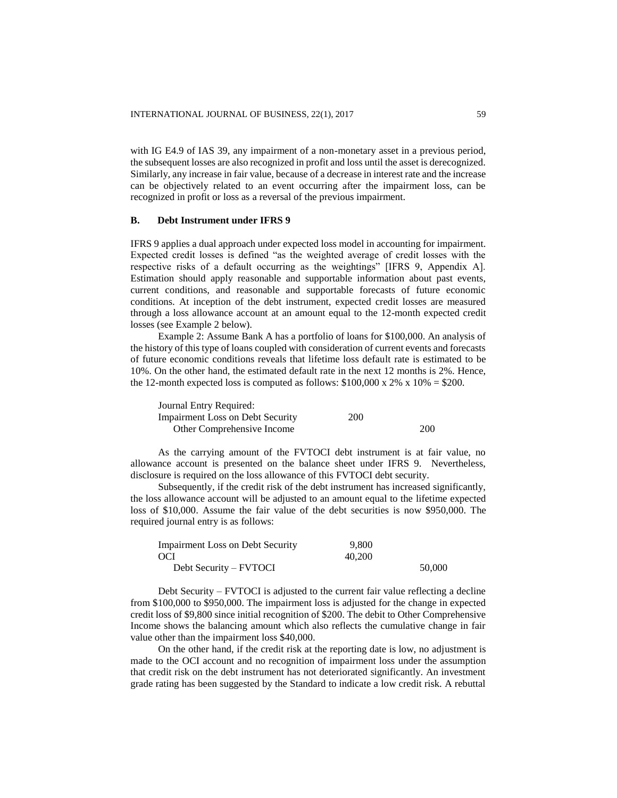with IG E4.9 of IAS 39, any impairment of a non-monetary asset in a previous period, the subsequent losses are also recognized in profit and loss until the asset is derecognized. Similarly, any increase in fair value, because of a decrease in interest rate and the increase can be objectively related to an event occurring after the impairment loss, can be recognized in profit or loss as a reversal of the previous impairment.

#### **B. Debt Instrument under IFRS 9**

IFRS 9 applies a dual approach under expected loss model in accounting for impairment. Expected credit losses is defined "as the weighted average of credit losses with the respective risks of a default occurring as the weightings" [IFRS 9, Appendix A]. Estimation should apply reasonable and supportable information about past events, current conditions, and reasonable and supportable forecasts of future economic conditions. At inception of the debt instrument, expected credit losses are measured through a loss allowance account at an amount equal to the 12-month expected credit losses (see Example 2 below).

Example 2: Assume Bank A has a portfolio of loans for \$100,000. An analysis of the history of this type of loans coupled with consideration of current events and forecasts of future economic conditions reveals that lifetime loss default rate is estimated to be 10%. On the other hand, the estimated default rate in the next 12 months is 2%. Hence, the 12-month expected loss is computed as follows:  $$100,000 \times 2\% \times 10\% = $200$ .

| Journal Entry Required:                 |     |     |
|-----------------------------------------|-----|-----|
| <b>Impairment Loss on Debt Security</b> | 200 |     |
| Other Comprehensive Income              |     | 200 |

As the carrying amount of the FVTOCI debt instrument is at fair value, no allowance account is presented on the balance sheet under IFRS 9. Nevertheless, disclosure is required on the loss allowance of this FVTOCI debt security.

Subsequently, if the credit risk of the debt instrument has increased significantly, the loss allowance account will be adjusted to an amount equal to the lifetime expected loss of \$10,000. Assume the fair value of the debt securities is now \$950,000. The required journal entry is as follows:

| <b>Impairment Loss on Debt Security</b> | 9.800  |        |
|-----------------------------------------|--------|--------|
| OCI                                     | 40,200 |        |
| Debt Security – FVTOCI                  |        | 50,000 |

Debt Security – FVTOCI is adjusted to the current fair value reflecting a decline from \$100,000 to \$950,000. The impairment loss is adjusted for the change in expected credit loss of \$9,800 since initial recognition of \$200. The debit to Other Comprehensive Income shows the balancing amount which also reflects the cumulative change in fair value other than the impairment loss \$40,000.

On the other hand, if the credit risk at the reporting date is low, no adjustment is made to the OCI account and no recognition of impairment loss under the assumption that credit risk on the debt instrument has not deteriorated significantly. An investment grade rating has been suggested by the Standard to indicate a low credit risk. A rebuttal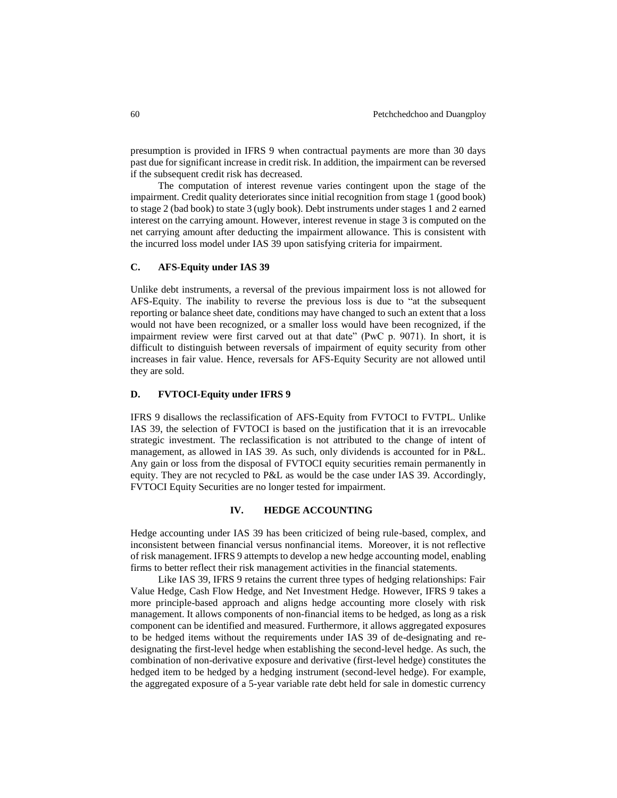presumption is provided in IFRS 9 when contractual payments are more than 30 days past due for significant increase in credit risk. In addition, the impairment can be reversed if the subsequent credit risk has decreased.

The computation of interest revenue varies contingent upon the stage of the impairment. Credit quality deteriorates since initial recognition from stage 1 (good book) to stage 2 (bad book) to state 3 (ugly book). Debt instruments under stages 1 and 2 earned interest on the carrying amount. However, interest revenue in stage 3 is computed on the net carrying amount after deducting the impairment allowance. This is consistent with the incurred loss model under IAS 39 upon satisfying criteria for impairment.

#### **C. AFS-Equity under IAS 39**

Unlike debt instruments, a reversal of the previous impairment loss is not allowed for AFS-Equity. The inability to reverse the previous loss is due to "at the subsequent reporting or balance sheet date, conditions may have changed to such an extent that a loss would not have been recognized, or a smaller loss would have been recognized, if the impairment review were first carved out at that date" (PwC p. 9071). In short, it is difficult to distinguish between reversals of impairment of equity security from other increases in fair value. Hence, reversals for AFS-Equity Security are not allowed until they are sold.

#### **D. FVTOCI-Equity under IFRS 9**

IFRS 9 disallows the reclassification of AFS-Equity from FVTOCI to FVTPL. Unlike IAS 39, the selection of FVTOCI is based on the justification that it is an irrevocable strategic investment. The reclassification is not attributed to the change of intent of management, as allowed in IAS 39. As such, only dividends is accounted for in P&L. Any gain or loss from the disposal of FVTOCI equity securities remain permanently in equity. They are not recycled to P&L as would be the case under IAS 39. Accordingly, FVTOCI Equity Securities are no longer tested for impairment.

# **IV. HEDGE ACCOUNTING**

Hedge accounting under IAS 39 has been criticized of being rule-based, complex, and inconsistent between financial versus nonfinancial items. Moreover, it is not reflective of risk management. IFRS 9 attempts to develop a new hedge accounting model, enabling firms to better reflect their risk management activities in the financial statements.

Like IAS 39, IFRS 9 retains the current three types of hedging relationships: Fair Value Hedge, Cash Flow Hedge, and Net Investment Hedge. However, IFRS 9 takes a more principle-based approach and aligns hedge accounting more closely with risk management. It allows components of non-financial items to be hedged, as long as a risk component can be identified and measured. Furthermore, it allows aggregated exposures to be hedged items without the requirements under IAS 39 of de-designating and redesignating the first-level hedge when establishing the second-level hedge. As such, the combination of non-derivative exposure and derivative (first-level hedge) constitutes the hedged item to be hedged by a hedging instrument (second-level hedge). For example, the aggregated exposure of a 5-year variable rate debt held for sale in domestic currency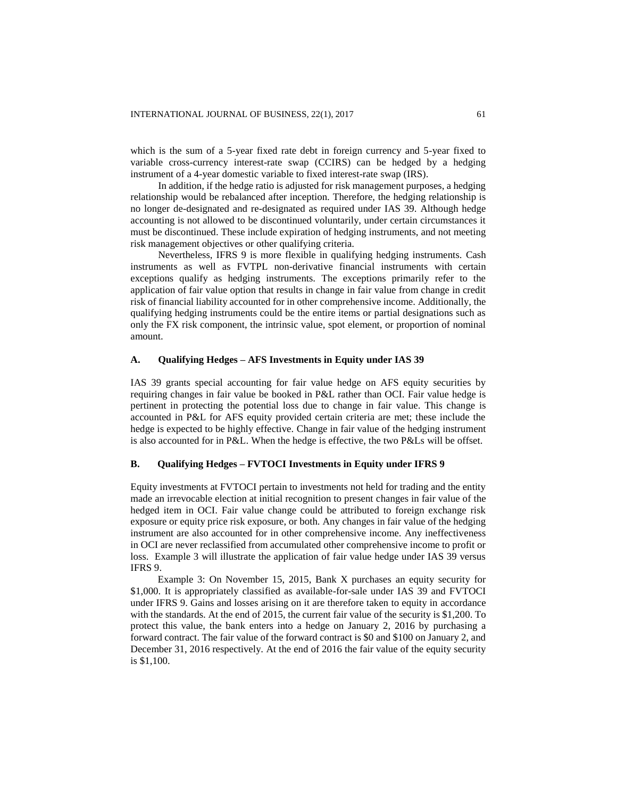which is the sum of a 5-year fixed rate debt in foreign currency and 5-year fixed to variable cross-currency interest-rate swap (CCIRS) can be hedged by a hedging instrument of a 4-year domestic variable to fixed interest-rate swap (IRS).

In addition, if the hedge ratio is adjusted for risk management purposes, a hedging relationship would be rebalanced after inception. Therefore, the hedging relationship is no longer de-designated and re-designated as required under IAS 39. Although hedge accounting is not allowed to be discontinued voluntarily, under certain circumstances it must be discontinued. These include expiration of hedging instruments, and not meeting risk management objectives or other qualifying criteria.

Nevertheless, IFRS 9 is more flexible in qualifying hedging instruments. Cash instruments as well as FVTPL non-derivative financial instruments with certain exceptions qualify as hedging instruments. The exceptions primarily refer to the application of fair value option that results in change in fair value from change in credit risk of financial liability accounted for in other comprehensive income. Additionally, the qualifying hedging instruments could be the entire items or partial designations such as only the FX risk component, the intrinsic value, spot element, or proportion of nominal amount.

## **A. Qualifying Hedges – AFS Investments in Equity under IAS 39**

IAS 39 grants special accounting for fair value hedge on AFS equity securities by requiring changes in fair value be booked in P&L rather than OCI. Fair value hedge is pertinent in protecting the potential loss due to change in fair value. This change is accounted in P&L for AFS equity provided certain criteria are met; these include the hedge is expected to be highly effective. Change in fair value of the hedging instrument is also accounted for in P&L. When the hedge is effective, the two P&Ls will be offset.

#### **B. Qualifying Hedges – FVTOCI Investments in Equity under IFRS 9**

Equity investments at FVTOCI pertain to investments not held for trading and the entity made an irrevocable election at initial recognition to present changes in fair value of the hedged item in OCI. Fair value change could be attributed to foreign exchange risk exposure or equity price risk exposure, or both. Any changes in fair value of the hedging instrument are also accounted for in other comprehensive income. Any ineffectiveness in OCI are never reclassified from accumulated other comprehensive income to profit or loss. Example 3 will illustrate the application of fair value hedge under IAS 39 versus IFRS 9.

Example 3: On November 15, 2015, Bank X purchases an equity security for \$1,000. It is appropriately classified as available-for-sale under IAS 39 and FVTOCI under IFRS 9. Gains and losses arising on it are therefore taken to equity in accordance with the standards. At the end of 2015, the current fair value of the security is \$1,200. To protect this value, the bank enters into a hedge on January 2, 2016 by purchasing a forward contract. The fair value of the forward contract is \$0 and \$100 on January 2, and December 31, 2016 respectively. At the end of 2016 the fair value of the equity security is \$1,100.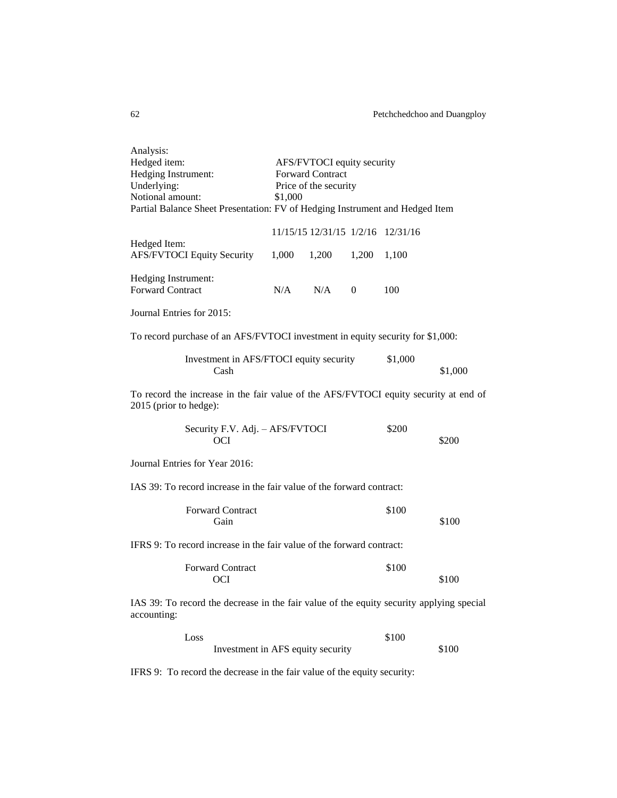| Analysis:<br>Hedged item:<br>Hedging Instrument:<br>Underlying:<br>Notional amount:                            | AFS/FVTOCI equity security<br><b>Forward Contract</b><br>Price of the security<br>\$1,000<br>Partial Balance Sheet Presentation: FV of Hedging Instrument and Hedged Item |                                   |          |         |         |  |
|----------------------------------------------------------------------------------------------------------------|---------------------------------------------------------------------------------------------------------------------------------------------------------------------------|-----------------------------------|----------|---------|---------|--|
|                                                                                                                |                                                                                                                                                                           | 11/15/15 12/31/15 1/2/16 12/31/16 |          |         |         |  |
| Hedged Item:<br><b>AFS/FVTOCI Equity Security</b>                                                              | 1,000                                                                                                                                                                     | 1,200                             | 1,200    | 1,100   |         |  |
| Hedging Instrument:<br><b>Forward Contract</b>                                                                 | N/A                                                                                                                                                                       | N/A                               | $\left($ | 100     |         |  |
| Journal Entries for 2015:                                                                                      |                                                                                                                                                                           |                                   |          |         |         |  |
| To record purchase of an AFS/FVTOCI investment in equity security for \$1,000:                                 |                                                                                                                                                                           |                                   |          |         |         |  |
| Investment in AFS/FTOCI equity security<br>Cash                                                                |                                                                                                                                                                           |                                   |          | \$1,000 | \$1,000 |  |
| To record the increase in the fair value of the AFS/FVTOCI equity security at end of<br>2015 (prior to hedge): |                                                                                                                                                                           |                                   |          |         |         |  |
| Security F.V. Adj. - AFS/FVTOCI<br>OCI                                                                         |                                                                                                                                                                           |                                   |          | \$200   | \$200   |  |
| Journal Entries for Year 2016:                                                                                 |                                                                                                                                                                           |                                   |          |         |         |  |
| IAS 39: To record increase in the fair value of the forward contract:                                          |                                                                                                                                                                           |                                   |          |         |         |  |
| <b>Forward Contract</b><br>Gain                                                                                |                                                                                                                                                                           |                                   |          | \$100   | \$100   |  |
| IFRS 9: To record increase in the fair value of the forward contract:                                          |                                                                                                                                                                           |                                   |          |         |         |  |
| <b>Forward Contract</b><br><b>OCI</b>                                                                          |                                                                                                                                                                           |                                   |          | \$100   | \$100   |  |
| IAS 39: To record the decrease in the fair value of the equity security applying special<br>accounting:        |                                                                                                                                                                           |                                   |          |         |         |  |
| Loss<br>Investment in AFS equity security                                                                      |                                                                                                                                                                           |                                   |          | \$100   | \$100   |  |
| IFRS 9: To record the decrease in the fair value of the equity security:                                       |                                                                                                                                                                           |                                   |          |         |         |  |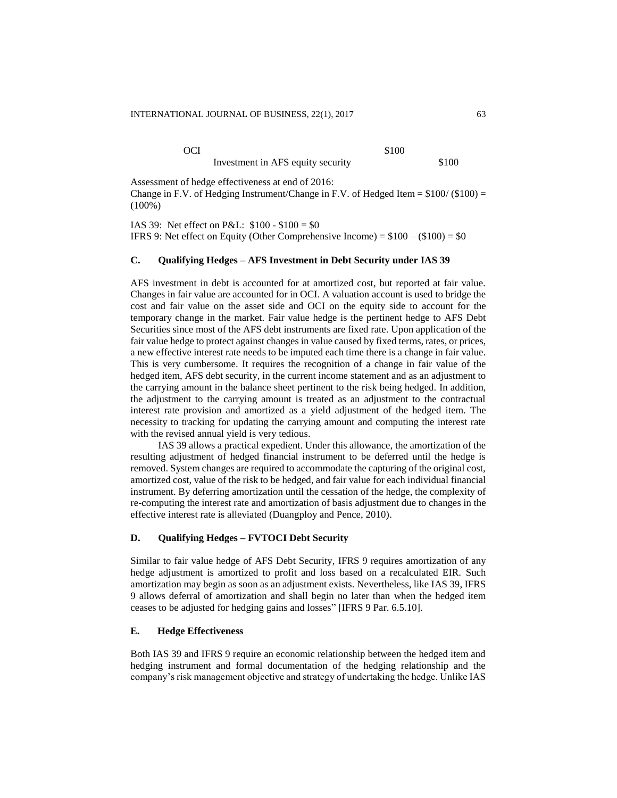OCI \$100

Investment in AFS equity security  $$100$ 

Assessment of hedge effectiveness at end of 2016: Change in F.V. of Hedging Instrument/Change in F.V. of Hedged Item  $= $100/($100) =$ (100%)

IAS 39: Net effect on P&L: \$100 - \$100 = \$0 IFRS 9: Net effect on Equity (Other Comprehensive Income) =  $$100 - ($100) = $0$ 

# **C. Qualifying Hedges – AFS Investment in Debt Security under IAS 39**

AFS investment in debt is accounted for at amortized cost, but reported at fair value. Changes in fair value are accounted for in OCI. A valuation account is used to bridge the cost and fair value on the asset side and OCI on the equity side to account for the temporary change in the market. Fair value hedge is the pertinent hedge to AFS Debt Securities since most of the AFS debt instruments are fixed rate. Upon application of the fair value hedge to protect against changes in value caused by fixed terms, rates, or prices, a new effective interest rate needs to be imputed each time there is a change in fair value. This is very cumbersome. It requires the recognition of a change in fair value of the hedged item, AFS debt security, in the current income statement and as an adjustment to the carrying amount in the balance sheet pertinent to the risk being hedged. In addition, the adjustment to the carrying amount is treated as an adjustment to the contractual interest rate provision and amortized as a yield adjustment of the hedged item. The necessity to tracking for updating the carrying amount and computing the interest rate with the revised annual yield is very tedious.

IAS 39 allows a practical expedient. Under this allowance, the amortization of the resulting adjustment of hedged financial instrument to be deferred until the hedge is removed. System changes are required to accommodate the capturing of the original cost, amortized cost, value of the risk to be hedged, and fair value for each individual financial instrument. By deferring amortization until the cessation of the hedge, the complexity of re-computing the interest rate and amortization of basis adjustment due to changes in the effective interest rate is alleviated (Duangploy and Pence, 2010).

## **D. Qualifying Hedges – FVTOCI Debt Security**

Similar to fair value hedge of AFS Debt Security, IFRS 9 requires amortization of any hedge adjustment is amortized to profit and loss based on a recalculated EIR. Such amortization may begin as soon as an adjustment exists. Nevertheless, like IAS 39, IFRS 9 allows deferral of amortization and shall begin no later than when the hedged item ceases to be adjusted for hedging gains and losses" [IFRS 9 Par. 6.5.10].

## **E. Hedge Effectiveness**

Both IAS 39 and IFRS 9 require an economic relationship between the hedged item and hedging instrument and formal documentation of the hedging relationship and the company's risk management objective and strategy of undertaking the hedge. Unlike IAS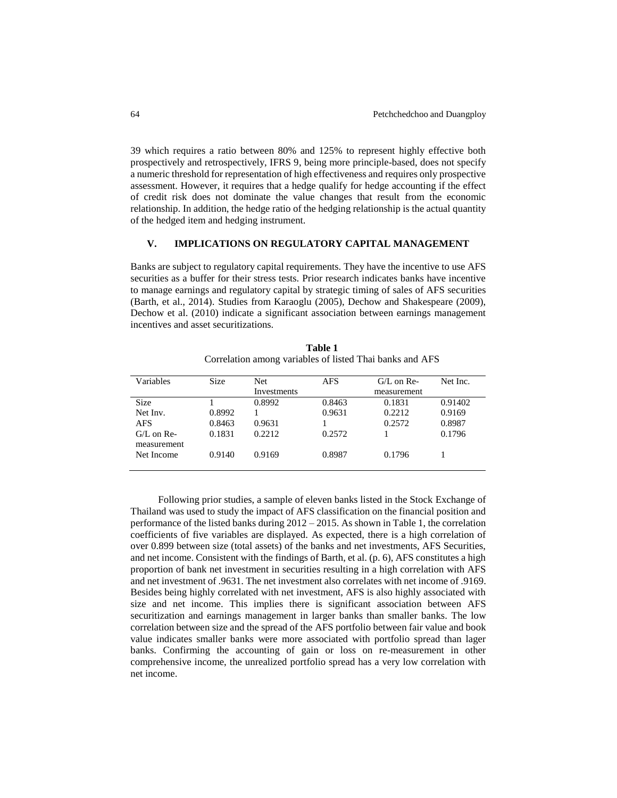39 which requires a ratio between 80% and 125% to represent highly effective both prospectively and retrospectively, IFRS 9, being more principle-based, does not specify a numeric threshold for representation of high effectiveness and requires only prospective assessment. However, it requires that a hedge qualify for hedge accounting if the effect of credit risk does not dominate the value changes that result from the economic relationship. In addition, the hedge ratio of the hedging relationship is the actual quantity of the hedged item and hedging instrument.

## **V. IMPLICATIONS ON REGULATORY CAPITAL MANAGEMENT**

Banks are subject to regulatory capital requirements. They have the incentive to use AFS securities as a buffer for their stress tests. Prior research indicates banks have incentive to manage earnings and regulatory capital by strategic timing of sales of AFS securities (Barth, et al., 2014). Studies from Karaoglu (2005), Dechow and Shakespeare (2009), Dechow et al. (2010) indicate a significant association between earnings management incentives and asset securitizations.

| Variables    | <b>Size</b> | Net.        | <b>AFS</b> | $G/L$ on Re- | Net Inc. |
|--------------|-------------|-------------|------------|--------------|----------|
|              |             | Investments |            | measurement  |          |
| <b>Size</b>  |             | 0.8992      | 0.8463     | 0.1831       | 0.91402  |
| Net Inv.     | 0.8992      |             | 0.9631     | 0.2212       | 0.9169   |
| <b>AFS</b>   | 0.8463      | 0.9631      |            | 0.2572       | 0.8987   |
| $G/L$ on Re- | 0.1831      | 0.2212      | 0.2572     |              | 0.1796   |
| measurement  |             |             |            |              |          |
| Net Income   | 0.9140      | 0.9169      | 0.8987     | 0.1796       |          |
|              |             |             |            |              |          |

**Table 1** Correlation among variables of listed Thai banks and AFS

Following prior studies, a sample of eleven banks listed in the Stock Exchange of Thailand was used to study the impact of AFS classification on the financial position and performance of the listed banks during  $2012 - 2015$ . As shown in Table 1, the correlation coefficients of five variables are displayed. As expected, there is a high correlation of over 0.899 between size (total assets) of the banks and net investments, AFS Securities, and net income. Consistent with the findings of Barth, et al. (p. 6), AFS constitutes a high proportion of bank net investment in securities resulting in a high correlation with AFS and net investment of .9631. The net investment also correlates with net income of .9169. Besides being highly correlated with net investment, AFS is also highly associated with size and net income. This implies there is significant association between AFS securitization and earnings management in larger banks than smaller banks. The low correlation between size and the spread of the AFS portfolio between fair value and book value indicates smaller banks were more associated with portfolio spread than lager banks. Confirming the accounting of gain or loss on re-measurement in other comprehensive income, the unrealized portfolio spread has a very low correlation with net income.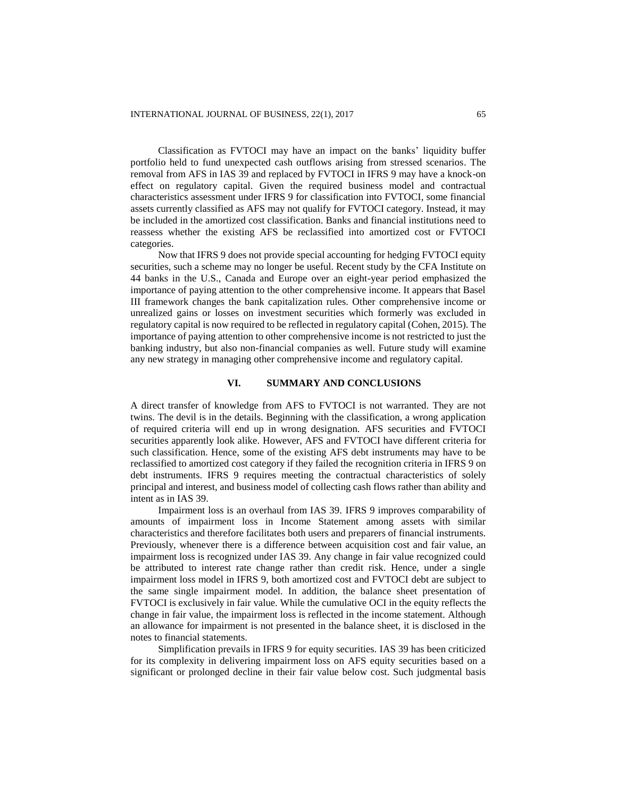Classification as FVTOCI may have an impact on the banks' liquidity buffer portfolio held to fund unexpected cash outflows arising from stressed scenarios. The removal from AFS in IAS 39 and replaced by FVTOCI in IFRS 9 may have a knock-on effect on regulatory capital. Given the required business model and contractual characteristics assessment under IFRS 9 for classification into FVTOCI, some financial assets currently classified as AFS may not qualify for FVTOCI category. Instead, it may be included in the amortized cost classification. Banks and financial institutions need to reassess whether the existing AFS be reclassified into amortized cost or FVTOCI categories.

Now that IFRS 9 does not provide special accounting for hedging FVTOCI equity securities, such a scheme may no longer be useful. Recent study by the CFA Institute on 44 banks in the U.S., Canada and Europe over an eight-year period emphasized the importance of paying attention to the other comprehensive income. It appears that Basel III framework changes the bank capitalization rules. Other comprehensive income or unrealized gains or losses on investment securities which formerly was excluded in regulatory capital is now required to be reflected in regulatory capital (Cohen, 2015). The importance of paying attention to other comprehensive income is not restricted to just the banking industry, but also non-financial companies as well. Future study will examine any new strategy in managing other comprehensive income and regulatory capital.

## **VI. SUMMARY AND CONCLUSIONS**

A direct transfer of knowledge from AFS to FVTOCI is not warranted. They are not twins. The devil is in the details. Beginning with the classification, a wrong application of required criteria will end up in wrong designation. AFS securities and FVTOCI securities apparently look alike. However, AFS and FVTOCI have different criteria for such classification. Hence, some of the existing AFS debt instruments may have to be reclassified to amortized cost category if they failed the recognition criteria in IFRS 9 on debt instruments. IFRS 9 requires meeting the contractual characteristics of solely principal and interest, and business model of collecting cash flows rather than ability and intent as in IAS 39.

Impairment loss is an overhaul from IAS 39. IFRS 9 improves comparability of amounts of impairment loss in Income Statement among assets with similar characteristics and therefore facilitates both users and preparers of financial instruments. Previously, whenever there is a difference between acquisition cost and fair value, an impairment loss is recognized under IAS 39. Any change in fair value recognized could be attributed to interest rate change rather than credit risk. Hence, under a single impairment loss model in IFRS 9, both amortized cost and FVTOCI debt are subject to the same single impairment model. In addition, the balance sheet presentation of FVTOCI is exclusively in fair value. While the cumulative OCI in the equity reflects the change in fair value, the impairment loss is reflected in the income statement. Although an allowance for impairment is not presented in the balance sheet, it is disclosed in the notes to financial statements.

Simplification prevails in IFRS 9 for equity securities. IAS 39 has been criticized for its complexity in delivering impairment loss on AFS equity securities based on a significant or prolonged decline in their fair value below cost. Such judgmental basis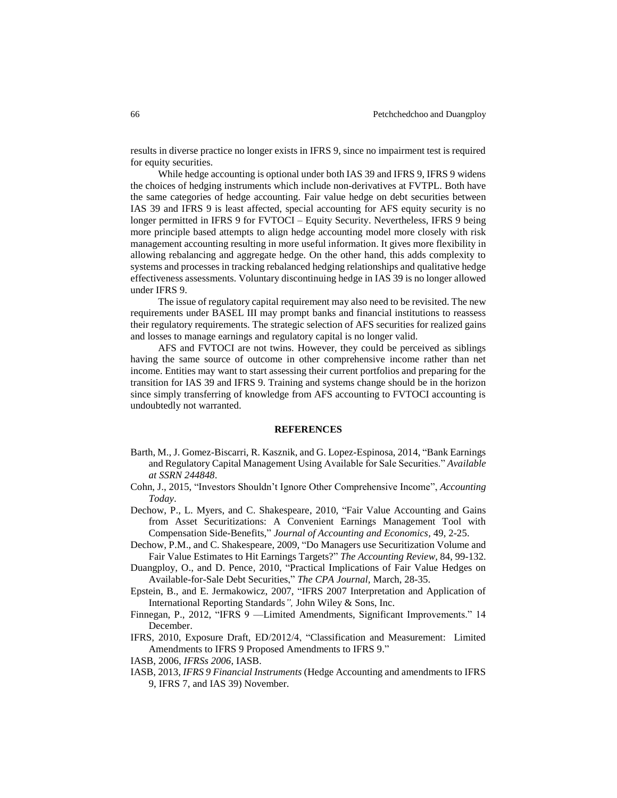results in diverse practice no longer exists in IFRS 9, since no impairment test is required for equity securities.

While hedge accounting is optional under both IAS 39 and IFRS 9, IFRS 9 widens the choices of hedging instruments which include non-derivatives at FVTPL. Both have the same categories of hedge accounting. Fair value hedge on debt securities between IAS 39 and IFRS 9 is least affected, special accounting for AFS equity security is no longer permitted in IFRS 9 for FVTOCI – Equity Security. Nevertheless, IFRS 9 being more principle based attempts to align hedge accounting model more closely with risk management accounting resulting in more useful information. It gives more flexibility in allowing rebalancing and aggregate hedge. On the other hand, this adds complexity to systems and processes in tracking rebalanced hedging relationships and qualitative hedge effectiveness assessments. Voluntary discontinuing hedge in IAS 39 is no longer allowed under IFRS 9.

The issue of regulatory capital requirement may also need to be revisited. The new requirements under BASEL III may prompt banks and financial institutions to reassess their regulatory requirements. The strategic selection of AFS securities for realized gains and losses to manage earnings and regulatory capital is no longer valid.

AFS and FVTOCI are not twins. However, they could be perceived as siblings having the same source of outcome in other comprehensive income rather than net income. Entities may want to start assessing their current portfolios and preparing for the transition for IAS 39 and IFRS 9. Training and systems change should be in the horizon since simply transferring of knowledge from AFS accounting to FVTOCI accounting is undoubtedly not warranted.

#### **REFERENCES**

- Barth, M., J. Gomez-Biscarri, R. Kasznik, and G. Lopez-Espinosa, 2014, "Bank Earnings and Regulatory Capital Management Using Available for Sale Securities." *Available at SSRN 244848*.
- Cohn, J., 2015, "Investors Shouldn't Ignore Other Comprehensive Income", *Accounting Today*.
- Dechow, P., L. Myers, and C. Shakespeare, 2010, "Fair Value Accounting and Gains from Asset Securitizations: A Convenient Earnings Management Tool with Compensation Side-Benefits," *Journal of Accounting and Economics,* 49, 2-25.
- Dechow, P.M., and C. Shakespeare, 2009, "Do Managers use Securitization Volume and Fair Value Estimates to Hit Earnings Targets?" *The Accounting Review,* 84, 99-132.
- Duangploy, O., and D. Pence, 2010, "Practical Implications of Fair Value Hedges on Available-for-Sale Debt Securities," *The CPA Journal,* March, 28-35.
- Epstein, B., and E. Jermakowicz, 2007, "IFRS 2007 Interpretation and Application of International Reporting Standards*",* John Wiley & Sons, Inc.
- Finnegan, P., 2012, "IFRS 9 —Limited Amendments, Significant Improvements." 14 December.
- IFRS, 2010, Exposure Draft, ED/2012/4, "Classification and Measurement: Limited Amendments to IFRS 9 Proposed Amendments to IFRS 9."

IASB, 2006, *IFRSs 2006*, IASB.

IASB, 2013*, IFRS 9 Financial Instruments* (Hedge Accounting and amendments to IFRS 9, IFRS 7, and IAS 39) November.